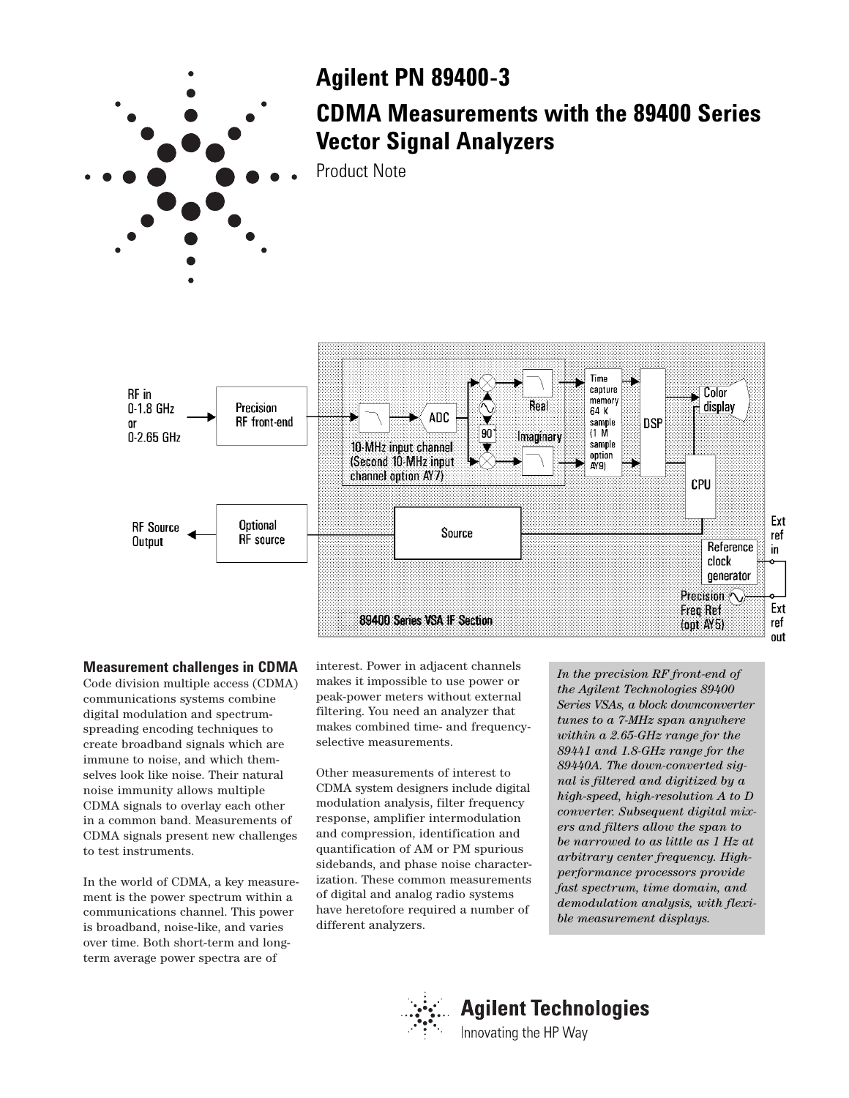

## **Measurement challenges in CDMA**

Code division multiple access (CDMA) communications systems combine digital modulation and spectrumspreading encoding techniques to create broadband signals which are immune to noise, and which themselves look like noise. Their natural noise immunity allows multiple CDMA signals to overlay each other in a common band. Measurements of CDMA signals present new challenges to test instruments.

In the world of CDMA, a key measurement is the power spectrum within a communications channel. This power is broadband, noise-like, and varies over time. Both short-term and longterm average power spectra are of

interest. Power in adjacent channels makes it impossible to use power or peak-power meters without external filtering. You need an analyzer that makes combined time- and frequencyselective measurements.

89400 Series VSA IF Section

Other measurements of interest to CDMA system designers include digital modulation analysis, filter frequency response, amplifier intermodulation and compression, identification and quantification of AM or PM spurious sidebands, and phase noise characterization. These common measurements of digital and analog radio systems have heretofore required a number of different analyzers.

*In the precision RF front-end of the Agilent Technologies 89400 Series VSAs, a block downconverter tunes to a 7-MHz span anywhere within a 2.65-GHz range for the 89441 and 1.8-GHz range for the 89440A. The down-converted signal is filtered and digitized by a high-speed, high-resolution A to D converter. Subsequent digital mixers and filters allow the span to be narrowed to as little as 1 Hz at arbitrary center frequency. Highperformance processors provide fast spectrum, time domain, and demodulation analysis, with flexible measurement displays.*

Precision  $\sim$ 

Freq Ref

 $($ opt $A<sub>5</sub>$ 

Ext

ref

out



# **Agilent Technologies**

Innovating the HP Way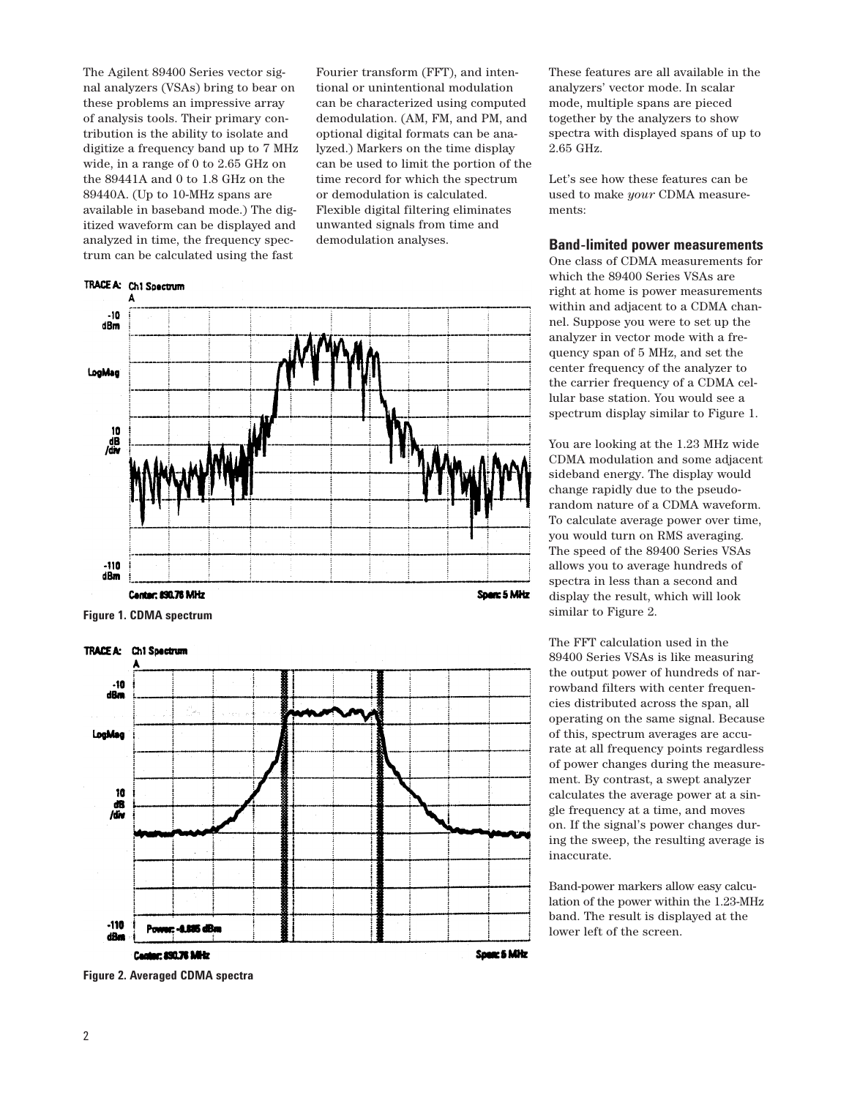The Agilent 89400 Series vector signal analyzers (VSAs) bring to bear on these problems an impressive array of analysis tools. Their primary contribution is the ability to isolate and digitize a frequency band up to 7 MHz wide, in a range of 0 to 2.65 GHz on the 89441A and 0 to 1.8 GHz on the 89440A. (Up to 10-MHz spans are available in baseband mode.) The digitized waveform can be displayed and analyzed in time, the frequency spectrum can be calculated using the fast

# TRACE A: Ch1 Spectrum

Fourier transform (FFT), and intentional or unintentional modulation can be characterized using computed demodulation. (AM, FM, and PM, and optional digital formats can be analyzed.) Markers on the time display can be used to limit the portion of the time record for which the spectrum or demodulation is calculated. Flexible digital filtering eliminates unwanted signals from time and demodulation analyses.



**Figure 1. CDMA spectrum**



These features are all available in the analyzers' vector mode. In scalar mode, multiple spans are pieced together by the analyzers to show spectra with displayed spans of up to 2.65 GHz.

Let's see how these features can be used to make *your* CDMA measurements:

## **Band-limited power measurements**

One class of CDMA measurements for which the 89400 Series VSAs are right at home is power measurements within and adjacent to a CDMA channel. Suppose you were to set up the analyzer in vector mode with a frequency span of 5 MHz, and set the center frequency of the analyzer to the carrier frequency of a CDMA cellular base station. You would see a spectrum display similar to Figure 1.

You are looking at the 1.23 MHz wide CDMA modulation and some adjacent sideband energy. The display would change rapidly due to the pseudorandom nature of a CDMA waveform. To calculate average power over time, you would turn on RMS averaging. The speed of the 89400 Series VSAs allows you to average hundreds of spectra in less than a second and display the result, which will look similar to Figure 2.

The FFT calculation used in the 89400 Series VSAs is like measuring the output power of hundreds of narrowband filters with center frequencies distributed across the span, all operating on the same signal. Because of this, spectrum averages are accurate at all frequency points regardless of power changes during the measurement. By contrast, a swept analyzer calculates the average power at a single frequency at a time, and moves on. If the signal's power changes during the sweep, the resulting average is inaccurate.

Band-power markers allow easy calculation of the power within the 1.23-MHz band. The result is displayed at the lower left of the screen.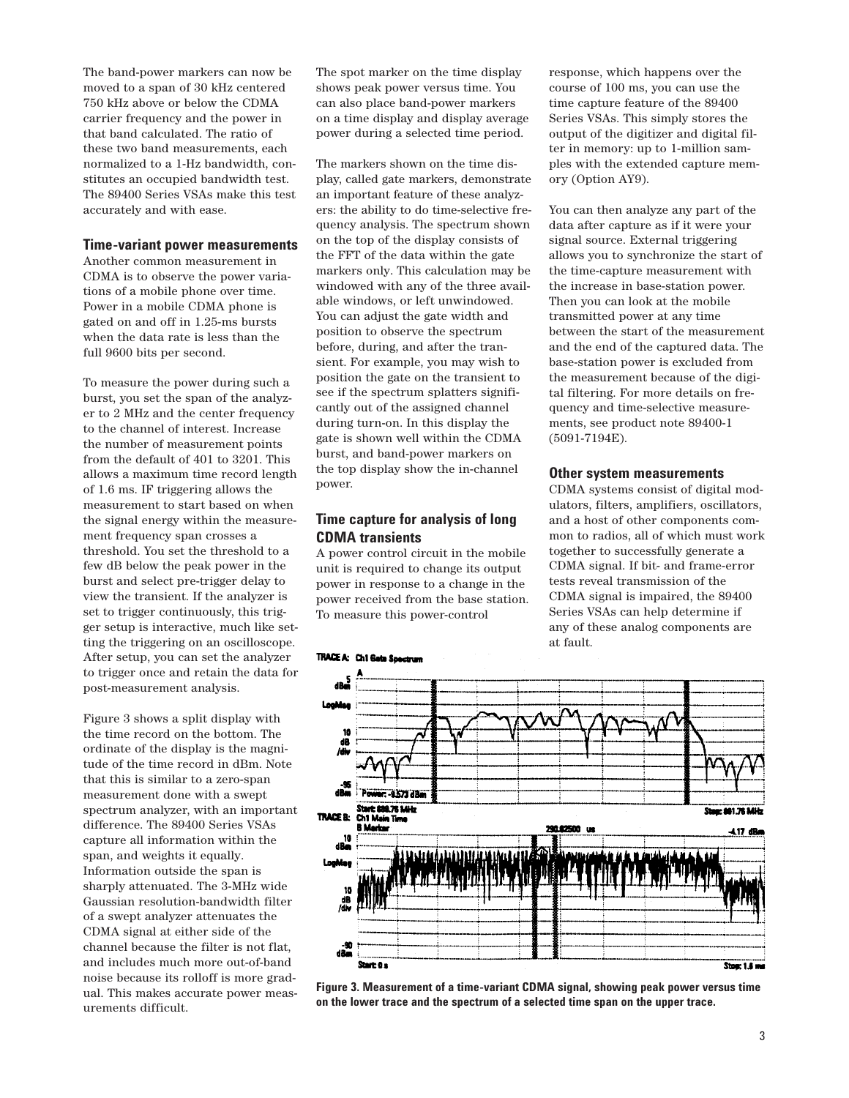The band-power markers can now be moved to a span of 30 kHz centered 750 kHz above or below the CDMA carrier frequency and the power in that band calculated. The ratio of these two band measurements, each normalized to a 1-Hz bandwidth, constitutes an occupied bandwidth test. The 89400 Series VSAs make this test accurately and with ease.

### **Time-variant power measurements**

Another common measurement in CDMA is to observe the power variations of a mobile phone over time. Power in a mobile CDMA phone is gated on and off in 1.25-ms bursts when the data rate is less than the full 9600 bits per second.

To measure the power during such a burst, you set the span of the analyzer to 2 MHz and the center frequency to the channel of interest. Increase the number of measurement points from the default of 401 to 3201. This allows a maximum time record length of 1.6 ms. IF triggering allows the measurement to start based on when the signal energy within the measurement frequency span crosses a threshold. You set the threshold to a few dB below the peak power in the burst and select pre-trigger delay to view the transient. If the analyzer is set to trigger continuously, this trigger setup is interactive, much like setting the triggering on an oscilloscope. After setup, you can set the analyzer to trigger once and retain the data for post-measurement analysis.

Figure 3 shows a split display with the time record on the bottom. The ordinate of the display is the magnitude of the time record in dBm. Note that this is similar to a zero-span measurement done with a swept spectrum analyzer, with an important difference. The 89400 Series VSAs capture all information within the span, and weights it equally. Information outside the span is sharply attenuated. The 3-MHz wide Gaussian resolution-bandwidth filter of a swept analyzer attenuates the CDMA signal at either side of the channel because the filter is not flat, and includes much more out-of-band noise because its rolloff is more gradual. This makes accurate power measurements difficult.

The spot marker on the time display shows peak power versus time. You can also place band-power markers on a time display and display average power during a selected time period.

The markers shown on the time display, called gate markers, demonstrate an important feature of these analyzers: the ability to do time-selective frequency analysis. The spectrum shown on the top of the display consists of the FFT of the data within the gate markers only. This calculation may be windowed with any of the three available windows, or left unwindowed. You can adjust the gate width and position to observe the spectrum before, during, and after the transient. For example, you may wish to position the gate on the transient to see if the spectrum splatters significantly out of the assigned channel during turn-on. In this display the gate is shown well within the CDMA burst, and band-power markers on the top display show the in-channel power.

# **Time capture for analysis of long CDMA transients**

A power control circuit in the mobile unit is required to change its output power in response to a change in the power received from the base station. To measure this power-control

response, which happens over the course of 100 ms, you can use the time capture feature of the 89400 Series VSAs. This simply stores the output of the digitizer and digital filter in memory: up to 1-million samples with the extended capture memory (Option AY9).

You can then analyze any part of the data after capture as if it were your signal source. External triggering allows you to synchronize the start of the time-capture measurement with the increase in base-station power. Then you can look at the mobile transmitted power at any time between the start of the measurement and the end of the captured data. The base-station power is excluded from the measurement because of the digital filtering. For more details on frequency and time-selective measurements, see product note 89400-1 (5091-7194E).

#### **Other system measurements**

CDMA systems consist of digital modulators, filters, amplifiers, oscillators, and a host of other components common to radios, all of which must work together to successfully generate a CDMA signal. If bit- and frame-error tests reveal transmission of the CDMA signal is impaired, the 89400 Series VSAs can help determine if any of these analog components are at fault.



**Figure 3. Measurement of a time-variant CDMA signal, showing peak power versus time on the lower trace and the spectrum of a selected time span on the upper trace.**